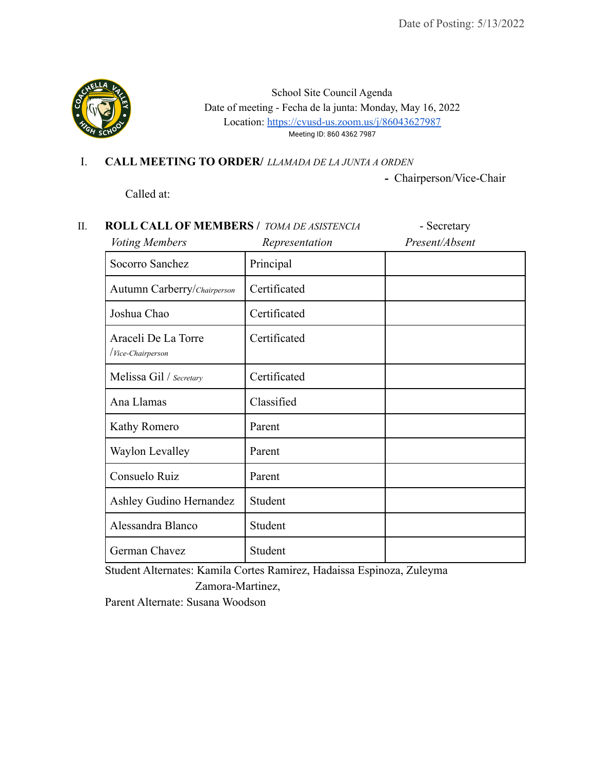

School Site Council Agenda Date of meeting - Fecha de la junta: Monday, May 16, 2022 Location: <https://cvusd-us.zoom.us/j/86043627987> Meeting ID: 860 4362 7987

I. **CALL MEETING TO ORDER/** *LLAMADA DE LA JUNTA A ORDEN*

Called at:

*-* Chairperson/Vice-Chair

| <b>ROLL CALL OF MEMBERS / TOMA DE ASISTENCIA</b><br>Voting Members | Representation | - Secretary<br>Present/Absent |
|--------------------------------------------------------------------|----------------|-------------------------------|
| Socorro Sanchez                                                    | Principal      |                               |
| Autumn Carberry/Chairperson                                        | Certificated   |                               |
| Joshua Chao                                                        | Certificated   |                               |
| Araceli De La Torre<br><i>Vice-Chairperson</i>                     | Certificated   |                               |
| Melissa Gil / Secretary                                            | Certificated   |                               |
| Ana Llamas                                                         | Classified     |                               |
| Kathy Romero                                                       | Parent         |                               |
| Waylon Levalley                                                    | Parent         |                               |
| Consuelo Ruiz                                                      | Parent         |                               |
| Ashley Gudino Hernandez                                            | Student        |                               |
| Alessandra Blanco                                                  | Student        |                               |
| German Chavez                                                      | Student        |                               |

Student Alternates: Kamila Cortes Ramirez, Hadaissa Espinoza, Zuleyma Zamora-Martinez,

Parent Alternate: Susana Woodson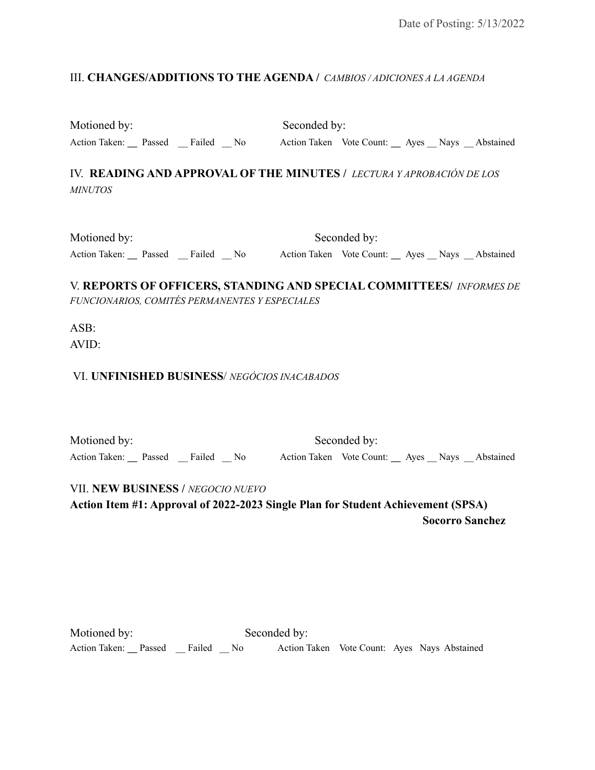## III. **CHANGES/ADDITIONS TO THE AGENDA /** *CAMBIOS / ADICIONES A LA AGENDA*

Motioned by: Seconded by:

Action Taken: Passed Failed No Action Taken Vote Count: Ayes Nays Abstained

IV. **READING AND APPROVAL OF THE MINUTES /** *LECTURA Y APROBACIÓN DE LOS MINUTOS*

| Motioned by:         |  |        | Seconded by: |                                              |  |  |  |
|----------------------|--|--------|--------------|----------------------------------------------|--|--|--|
| Action Taken: Passed |  | Failed | - No         | Action Taken Vote Count: Ayes Nays Abstained |  |  |  |

V. **REPORTS OF OFFICERS, STANDING AND SPECIAL COMMITTEES/** *INFORMES DE FUNCIONARIOS, COMITÉS PERMANENTES Y ESPECIALES*

ASB: AVID:

VI. **UNFINISHED BUSINESS**/ *NEGÓCIOS INACABADOS*

Motioned by: Seconded by: Action Taken: Passed Failed No Action Taken Vote Count: Ayes Nays Abstained

VII. **NEW BUSINESS /** *NEGOCIO NUEVO*

**Action Item #1: Approval of 2022-2023 Single Plan for Student Achievement (SPSA) Socorro Sanchez**

| Motioned by:         |        |                | Seconded by: |  |                                              |
|----------------------|--------|----------------|--------------|--|----------------------------------------------|
| Action Taken: Passed | Failed | N <sub>0</sub> |              |  | Action Taken Vote Count: Ayes Nays Abstained |